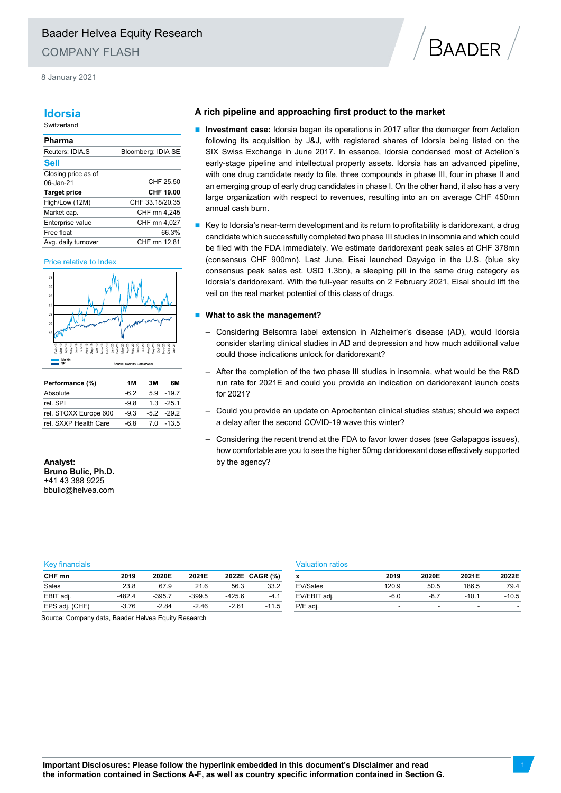8 January 2021

## **Idorsia**

#### Switzerland

### **Pharma**

| Reuters: IDIA.S     | Bloomberg: IDIA SE |
|---------------------|--------------------|
| Sell                |                    |
| Closing price as of |                    |
| 06-Jan-21           | CHF 25.50          |
| <b>Target price</b> | CHF 19.00          |
| High/Low (12M)      | CHF 33.18/20.35    |
| Market cap.         | CHF mn 4,245       |
| Enterprise value    | CHF mn 4.027       |
| Free float          | 66.3%              |
| Avg. daily turnover | CHF mn 12.81       |

#### Price relative to Index



| Performance (%)       | 1 M    | 3M | 6М           |
|-----------------------|--------|----|--------------|
| Absolute              | -62    |    | $5.9 - 19.7$ |
| rel SPI               | -98    |    | $13 - 251$   |
| rel. STOXX Europe 600 | $-9.3$ |    | $-5.2 -29.2$ |
| rel. SXXP Health Care | -6.8   |    | 70 - 135     |

**Analyst: Bruno Bulic, Ph.D.**  +41 43 388 9225 bbulic@helvea.com

## **A rich pipeline and approaching first product to the market**

 **Investment case:** Idorsia began its operations in 2017 after the demerger from Actelion following its acquisition by J&J, with registered shares of Idorsia being listed on the SIX Swiss Exchange in June 2017. In essence, Idorsia condensed most of Actelion's early-stage pipeline and intellectual property assets. Idorsia has an advanced pipeline, with one drug candidate ready to file, three compounds in phase III, four in phase II and an emerging group of early drug candidates in phase I. On the other hand, it also has a very large organization with respect to revenues, resulting into an on average CHF 450mn annual cash burn.

**BAADER** 

 Key to Idorsia's near-term development and its return to profitability is daridorexant, a drug candidate which successfully completed two phase III studies in insomnia and which could be filed with the FDA immediately. We estimate daridorexant peak sales at CHF 378mn (consensus CHF 900mn). Last June, Eisai launched Dayvigo in the U.S. (blue sky consensus peak sales est. USD 1.3bn), a sleeping pill in the same drug category as Idorsia's daridorexant. With the full-year results on 2 February 2021, Eisai should lift the veil on the real market potential of this class of drugs.

### $\blacksquare$  What to ask the management?

- Considering Belsomra label extension in Alzheimer's disease (AD), would Idorsia consider starting clinical studies in AD and depression and how much additional value could those indications unlock for daridorexant?
- After the completion of the two phase III studies in insomnia, what would be the R&D run rate for 2021E and could you provide an indication on daridorexant launch costs for 2021?
- Could you provide an update on Aprocitentan clinical studies status; should we expect a delay after the second COVID-19 wave this winter?
- Considering the recent trend at the FDA to favor lower doses (see Galapagos issues), how comfortable are you to see the higher 50mg daridorexant dose effectively supported by the agency?

#### Key financials Valuation ratios

| CHF mn         | 2019     | 2020E    | 2021E    |          | 2022E CAGR (%) | x            | 2019   | 2020E  | 2021E   | 2022E   |
|----------------|----------|----------|----------|----------|----------------|--------------|--------|--------|---------|---------|
| Sales          | 23.8     | 67.9     | 21.6     | 56.3     | 33.2           | EV/Sales     | 120.9  | 50.5   | 186.5   | 79.4    |
| EBIT adj.      | $-482.4$ | $-395.7$ | $-399.5$ | $-425.6$ | $-4.1$         | EV/EBIT adj. | $-6.0$ | $-8.7$ | $-10.1$ | $-10.5$ |
| EPS adj. (CHF) | $-3.76$  | $-2.84$  | $-2.46$  | $-2.61$  | $-11.5$        | P/E adi.     |        | -      |         |         |
|                |          |          |          |          |                |              |        |        |         |         |

|              | 2019   | 2020E | 2021E   | 2022E   |
|--------------|--------|-------|---------|---------|
| EV/Sales     | 120.9  | 50.5  | 186.5   | 79.4    |
| EV/EBIT adj. | $-6.0$ | -87   | $-10.1$ | $-10.5$ |
| P/E adj.     | -      | -     | -       | -       |

Source: Company data, Baader Helvea Equity Research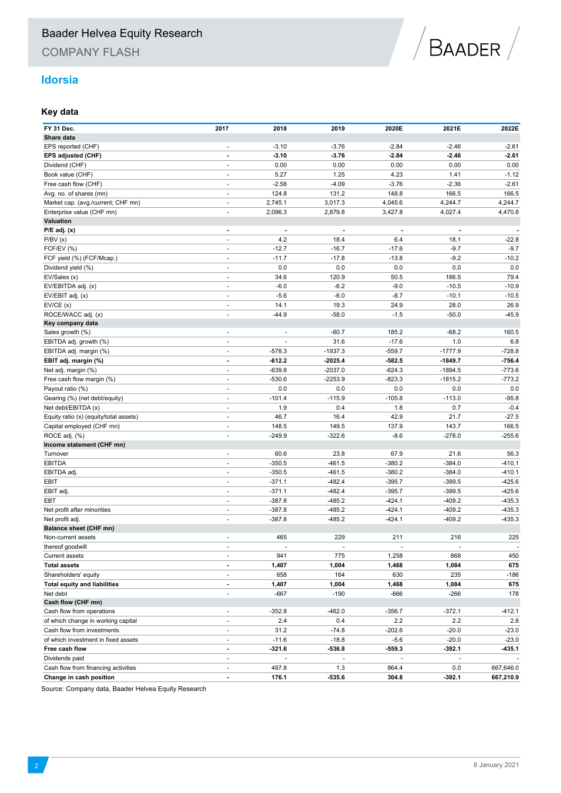COMPANY FLASH



## **Idorsia**

## **Key data**

| FY 31 Dec.                             | 2017                     | 2018                     | 2019                         | 2020E                    | 2021E                    | 2022E                    |
|----------------------------------------|--------------------------|--------------------------|------------------------------|--------------------------|--------------------------|--------------------------|
| Share data                             |                          |                          |                              |                          |                          |                          |
| EPS reported (CHF)                     | $\blacksquare$           | $-3.10$                  | $-3.76$                      | $-2.84$                  | $-2.46$                  | $-2.61$                  |
| EPS adjusted (CHF)                     |                          | $-3.10$                  | $-3.76$                      | $-2.84$                  | $-2.46$                  | $-2.61$                  |
| Dividend (CHF)                         | $\overline{\phantom{a}}$ | 0.00                     | 0.00                         | 0.00                     | 0.00                     | 0.00                     |
| Book value (CHF)                       | $\blacksquare$           | 5.27                     | 1.25                         | 4.23                     | 1.41                     | $-1.12$                  |
| Free cash flow (CHF)                   | $\blacksquare$           | $-2.58$                  | $-4.09$                      | $-3.76$                  | $-2.36$                  | $-2.61$                  |
| Avg. no. of shares (mn)                | $\blacksquare$           | 124.8                    | 131.2                        | 148.8                    | 166.5                    | 166.5                    |
| Market cap. (avg./current; CHF mn)     | $\blacksquare$           | 2,745.1                  | 3,017.3                      | 4,045.6                  | 4,244.7                  | 4,244.7                  |
| Enterprise value (CHF mn)              | $\blacksquare$           | 2,096.3                  | 2,879.8                      | 3,427.8                  | 4,027.4                  | 4,470.8                  |
| Valuation                              |                          |                          |                              |                          |                          |                          |
| $P/E$ adj. $(x)$                       | ٠                        | $\blacksquare$           | $\qquad \qquad \blacksquare$ |                          | $\overline{\phantom{a}}$ | $\overline{\phantom{a}}$ |
| P/BV(x)                                | $\frac{1}{2}$            | 4.2                      | 18.4                         | 6.4                      | 18.1                     | $-22.8$                  |
| FCF/EV (%)                             | $\overline{\phantom{a}}$ | $-12.7$                  | $-16.7$                      | $-17.6$                  | $-9.7$                   | $-9.7$                   |
| FCF yield (%) (FCF/Mcap.)              | $\blacksquare$           | $-11.7$                  | $-17.8$                      | $-13.8$                  | $-9.2$                   | $-10.2$                  |
| Dividend yield (%)                     | $\overline{\phantom{a}}$ | 0.0                      | 0.0                          | 0.0                      | 0.0                      | 0.0                      |
| EV/Sales (x)                           | $\overline{\phantom{a}}$ | 34.6                     | 120.9                        | 50.5                     | 186.5                    | 79.4                     |
| EV/EBITDA adj. (x)                     | $\blacksquare$           | $-6.0$                   | $-6.2$                       | $-9.0$                   | $-10.5$                  | $-10.9$                  |
| EV/EBIT adj. (x)                       | $\blacksquare$           | $-5.6$                   | $-6.0$                       | $-8.7$                   | $-10.1$                  | $-10.5$                  |
| EV/CE(x)                               | $\blacksquare$           | 14.1                     | 19.3                         | 24.9                     | 28.0                     | 26.9                     |
| ROCE/WACC adj. (x)                     | $\overline{a}$           | $-44.9$                  | $-58.0$                      | $-1.5$                   | $-50.0$                  | $-45.9$                  |
| Key company data                       |                          |                          |                              |                          |                          |                          |
| Sales growth (%)                       | $\overline{\phantom{a}}$ | $\overline{\phantom{a}}$ | $-60.7$                      | 185.2                    | $-68.2$                  | 160.5                    |
| EBITDA adj. growth (%)                 | $\blacksquare$           |                          | 31.6                         | $-17.6$                  | 1.0                      | 6.8                      |
| EBITDA adj. margin (%)                 | $\overline{\phantom{a}}$ | $-578.3$                 | $-1937.3$                    | $-559.7$                 | $-1777.9$                | $-728.8$                 |
| EBIT adj. margin (%)                   | $\blacksquare$           | $-612.2$                 | $-2025.4$                    | $-582.5$                 | $-1849.7$                | $-756.4$                 |
| Net adj. margin (%)                    | $\overline{\phantom{a}}$ | $-639.8$                 | $-2037.0$                    | $-624.3$                 | $-1894.5$                | $-773.6$                 |
| Free cash flow margin (%)              | $\overline{\phantom{a}}$ | $-530.6$                 | $-2253.9$                    | $-823.3$                 | $-1815.2$                | $-773.2$                 |
| Payout ratio (%)                       | $\overline{\phantom{a}}$ | 0.0                      | 0.0                          | 0.0                      | 0.0                      | 0.0                      |
| Gearing (%) (net debt/equity)          | $\overline{\phantom{a}}$ | $-101.4$                 | $-115.9$                     | $-105.8$                 | $-113.0$                 | $-95.8$                  |
| Net debt/EBITDA (x)                    | $\overline{\phantom{a}}$ | 1.9                      | 0.4                          | 1.8                      | 0.7                      | $-0.4$                   |
| Equity ratio (x) (equity/total assets) | $\blacksquare$           | 46.7                     | 16.4                         | 42.9                     | 21.7                     | $-27.5$                  |
| Capital employed (CHF mn)              | $\blacksquare$           | 148.5                    | 149.5                        | 137.9                    | 143.7                    | 166.5                    |
| ROCE adj. (%)                          | $\blacksquare$           | $-249.9$                 | $-322.6$                     | $-8.6$                   | $-278.0$                 | $-255.6$                 |
| Income statement (CHF mn)              |                          |                          |                              |                          |                          |                          |
| Turnover                               | $\blacksquare$           | 60.6                     | 23.8                         | 67.9                     | 21.6                     | 56.3                     |
| <b>EBITDA</b>                          | $\overline{\phantom{a}}$ | $-350.5$                 | $-461.5$                     | $-380.2$                 | $-384.0$                 | $-410.1$                 |
| EBITDA adj.                            | $\blacksquare$           | $-350.5$                 | $-461.5$                     | $-380.2$                 | $-384.0$                 | $-410.1$                 |
| EBIT                                   | $\overline{\phantom{a}}$ | $-371.1$                 | $-482.4$                     | $-395.7$                 | $-399.5$                 | $-425.6$                 |
| EBIT adj.                              | $\overline{\phantom{a}}$ | $-371.1$                 | $-482.4$                     | $-395.7$                 | $-399.5$                 | $-425.6$                 |
| EBT                                    | $\frac{1}{2}$            | $-387.8$                 | $-485.2$                     | $-424.1$                 | $-409.2$                 | $-435.3$                 |
| Net profit after minorities            | $\overline{\phantom{a}}$ | $-387.8$                 | $-485.2$                     | $-424.1$                 | $-409.2$                 | $-435.3$                 |
| Net profit adj.                        | $\blacksquare$           | $-387.8$                 | $-485.2$                     | $-424.1$                 | $-409.2$                 | $-435.3$                 |
| Balance sheet (CHF mn)                 |                          |                          |                              |                          |                          |                          |
| Non-current assets                     | $\overline{\phantom{a}}$ | 465                      | 229                          | 211                      | 216                      | 225                      |
| thereof goodwill                       |                          | $\overline{\phantom{a}}$ | $\overline{\phantom{a}}$     | $\overline{\phantom{a}}$ | $\overline{\phantom{a}}$ | $\overline{\phantom{a}}$ |
| Current assets                         | $\blacksquare$           | 941                      | 775                          | 1,258                    | 868                      | 450                      |
| <b>Total assets</b>                    | $\blacksquare$           | 1,407                    | 1,004                        | 1,468                    | 1,084                    | 675                      |
| Shareholders' equity                   | $\blacksquare$           | 658                      | 164                          | 630                      | 235                      | $-186$                   |
| <b>Total equity and liabilities</b>    | $\blacksquare$           | 1,407                    | 1,004                        | 1,468                    | 1,084                    | 675                      |
| Net debt                               | $\overline{\phantom{a}}$ | $-667$                   | $-190$                       | $-666$                   | $-266$                   | 178                      |
| Cash flow (CHF mn)                     |                          |                          |                              |                          |                          |                          |
| Cash flow from operations              | $\blacksquare$           | $-352.8$                 | $-462.0$                     | $-356.7$                 | $-372.1$                 | -412.1                   |
| of which change in working capital     | $\overline{\phantom{a}}$ | 2.4                      | 0.4                          | 2.2                      | 2.2                      | 2.8                      |
| Cash flow from investments             | $\overline{\phantom{a}}$ | 31.2                     | $-74.8$                      | $-202.6$                 | $-20.0$                  | $-23.0$                  |
| of which investment in fixed assets    | $\overline{\phantom{a}}$ | $-11.6$                  | $-18.8$                      | $-5.6$                   | $-20.0$                  | $-23.0$                  |
| Free cash flow                         | $\blacksquare$           | -321.6                   | -536.8                       | -559.3                   | -392.1                   | $-435.1$                 |
| Dividends paid                         | $\blacksquare$           | $\overline{\phantom{a}}$ | $\overline{\phantom{a}}$     |                          |                          |                          |
| Cash flow from financing activities    | $\overline{\phantom{a}}$ | 497.8                    | 1.3                          | 864.4                    | 0.0                      | 667,646.0                |
| Change in cash position                | $\blacksquare$           | 176.1                    | -535.6                       | 304.8                    | -392.1                   | 667,210.9                |
|                                        |                          |                          |                              |                          |                          |                          |

Source: Company data, Baader Helvea Equity Research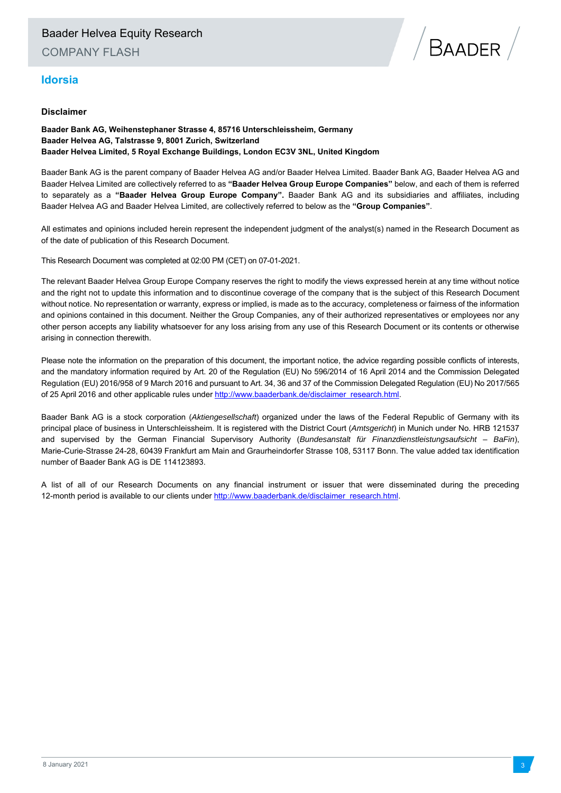## **Idorsia**



**Baader Bank AG, Weihenstephaner Strasse 4, 85716 Unterschleissheim, Germany Baader Helvea AG, Talstrasse 9, 8001 Zurich, Switzerland Baader Helvea Limited, 5 Royal Exchange Buildings, London EC3V 3NL, United Kingdom** 

Baader Bank AG is the parent company of Baader Helvea AG and/or Baader Helvea Limited. Baader Bank AG, Baader Helvea AG and Baader Helvea Limited are collectively referred to as **"Baader Helvea Group Europe Companies"** below, and each of them is referred to separately as a **"Baader Helvea Group Europe Company".** Baader Bank AG and its subsidiaries and affiliates, including Baader Helvea AG and Baader Helvea Limited, are collectively referred to below as the **"Group Companies"**.

All estimates and opinions included herein represent the independent judgment of the analyst(s) named in the Research Document as of the date of publication of this Research Document.

This Research Document was completed at 02:00 PM (CET) on 07-01-2021.

The relevant Baader Helvea Group Europe Company reserves the right to modify the views expressed herein at any time without notice and the right not to update this information and to discontinue coverage of the company that is the subject of this Research Document without notice. No representation or warranty, express or implied, is made as to the accuracy, completeness or fairness of the information and opinions contained in this document. Neither the Group Companies, any of their authorized representatives or employees nor any other person accepts any liability whatsoever for any loss arising from any use of this Research Document or its contents or otherwise arising in connection therewith.

Please note the information on the preparation of this document, the important notice, the advice regarding possible conflicts of interests, and the mandatory information required by Art. 20 of the Regulation (EU) No 596/2014 of 16 April 2014 and the Commission Delegated Regulation (EU) 2016/958 of 9 March 2016 and pursuant to Art. 34, 36 and 37 of the Commission Delegated Regulation (EU) No 2017/565 of 25 April 2016 and other applicable rules under http://www.baaderbank.de/disclaimer\_research.html

Baader Bank AG is a stock corporation (*Aktiengesellschaft*) organized under the laws of the Federal Republic of Germany with its principal place of business in Unterschleissheim. It is registered with the District Court (*Amtsgericht*) in Munich under No. HRB 121537 and supervised by the German Financial Supervisory Authority (*Bundesanstalt für Finanzdienstleistungsaufsicht* – *BaFin*), Marie-Curie-Strasse 24-28, 60439 Frankfurt am Main and Graurheindorfer Strasse 108, 53117 Bonn. The value added tax identification number of Baader Bank AG is DE 114123893.

A list of all of our Research Documents on any financial instrument or issuer that were disseminated during the preceding 12-month period is available to our clients under http://www.baaderbank.de/disclaimer\_research.html.

 $\sqrt{}$ Baader